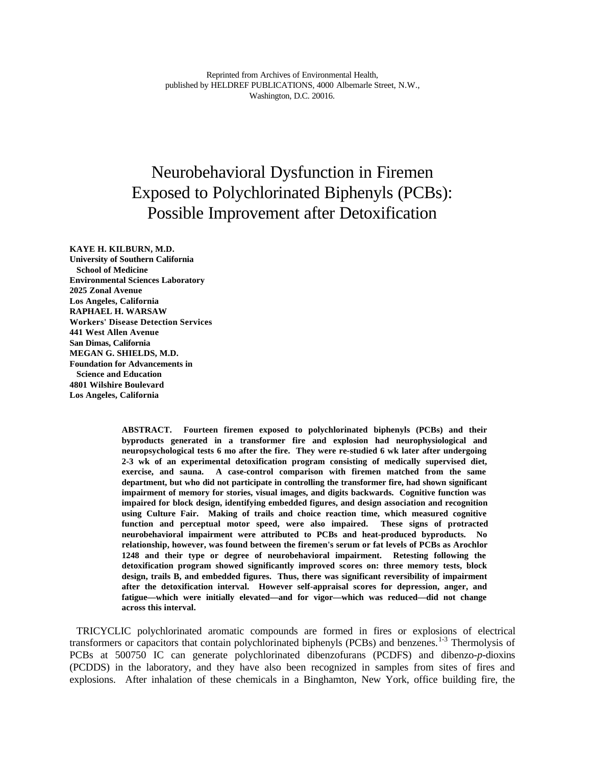# Neurobehavioral Dysfunction in Firemen Exposed to Polychlorinated Biphenyls (PCBs): Possible Improvement after Detoxification

**KAYE H. KILBURN, M.D. University of Southern California School of Medicine Environmental Sciences Laboratory 2025 Zonal Avenue Los Angeles, California RAPHAEL H. WARSAW Workers' Disease Detection Services 441 West Allen Avenue San Dimas, California MEGAN G. SHIELDS, M.D. Foundation for Advancements in Science and Education 4801 Wilshire Boulevard Los Angeles, California**

> **ABSTRACT. Fourteen firemen exposed to polychlorinated biphenyls (PCBs) and their byproducts generated in a transformer fire and explosion had neurophysiological and neuropsychological tests 6 mo after the fire. They were re-studied 6 wk later after undergoing 2-3 wk of an experimental detoxification program consisting of medically supervised diet, exercise, and sauna. A case-control comparison with firemen matched from the same department, but who did not participate in controlling the transformer fire, had shown significant impairment of memory for stories, visual images, and digits backwards. Cognitive function was impaired for block design, identifying embedded figures, and design association and recognition using Culture Fair. Making of trails and choice reaction time, which measured cognitive function and perceptual motor speed, were also impaired. These signs of protracted neurobehavioral impairment were attributed to PCBs and heat-produced byproducts. No relationship, however, was found between the firemen's serum or fat levels of PCBs as Arochlor 1248 and their type or degree of neurobehavioral impairment. Retesting following the detoxification program showed significantly improved scores on: three memory tests, block design, trails B, and embedded figures. Thus, there was significant reversibility of impairment after the detoxification interval. However self-appraisal scores for depression, anger, and fatigue—which were initially elevated—and for vigor—which was reduced—did not change across this interval.**

TRICYCLIC polychlorinated aromatic compounds are formed in fires or explosions of electrical transformers or capacitors that contain polychlorinated biphenyls (PCBs) and benzenes.<sup>1-3</sup> Thermolysis of PCBs at 500750 IC can generate polychlorinated dibenzofurans (PCDFS) and dibenzo-*p*-dioxins (PCDDS) in the laboratory, and they have also been recognized in samples from sites of fires and explosions. After inhalation of these chemicals in a Binghamton, New York, office building fire, the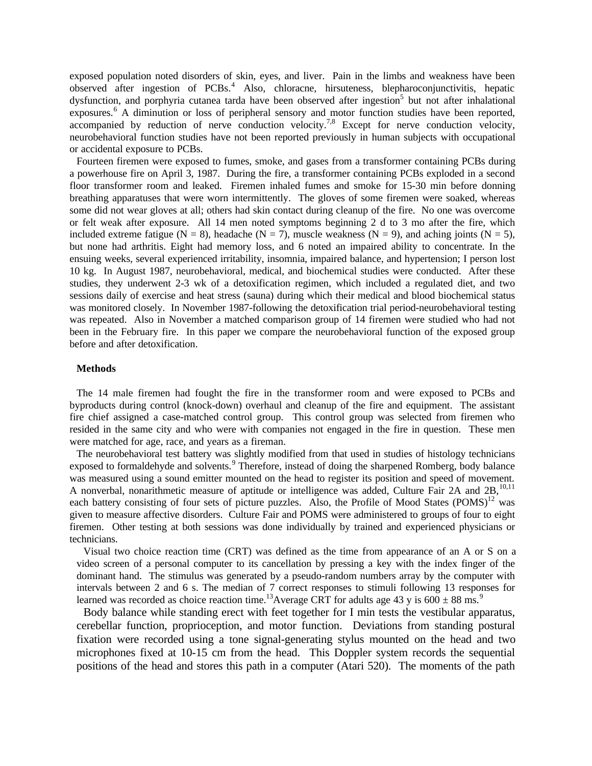exposed population noted disorders of skin, eyes, and liver. Pain in the limbs and weakness have been observed after ingestion of PCBs.<sup>4</sup> Also, chloracne, hirsuteness, blepharoconjunctivitis, hepatic dysfunction, and porphyria cutanea tarda have been observed after ingestion<sup>5</sup> but not after inhalational exposures.<sup>6</sup> A diminution or loss of peripheral sensory and motor function studies have been reported, accompanied by reduction of nerve conduction velocity.<sup>7,8</sup> Except for nerve conduction velocity, neurobehavioral function studies have not been reported previously in human subjects with occupational or accidental exposure to PCBs.

Fourteen firemen were exposed to fumes, smoke, and gases from a transformer containing PCBs during a powerhouse fire on April 3, 1987. During the fire, a transformer containing PCBs exploded in a second floor transformer room and leaked. Firemen inhaled fumes and smoke for 15-30 min before donning breathing apparatuses that were worn intermittently. The gloves of some firemen were soaked, whereas some did not wear gloves at all; others had skin contact during cleanup of the fire. No one was overcome or felt weak after exposure. All 14 men noted symptoms beginning 2 d to 3 mo after the fire, which included extreme fatigue (N = 8), headache (N = 7), muscle weakness (N = 9), and aching joints (N = 5), but none had arthritis. Eight had memory loss, and 6 noted an impaired ability to concentrate. In the ensuing weeks, several experienced irritability, insomnia, impaired balance, and hypertension; I person lost 10 kg. In August 1987, neurobehavioral, medical, and biochemical studies were conducted. After these studies, they underwent 2-3 wk of a detoxification regimen, which included a regulated diet, and two sessions daily of exercise and heat stress (sauna) during which their medical and blood biochemical status was monitored closely. In November 1987-following the detoxification trial period-neurobehavioral testing was repeated. Also in November a matched comparison group of 14 firemen were studied who had not been in the February fire. In this paper we compare the neurobehavioral function of the exposed group before and after detoxification.

# **Methods**

The 14 male firemen had fought the fire in the transformer room and were exposed to PCBs and byproducts during control (knock-down) overhaul and cleanup of the fire and equipment. The assistant fire chief assigned a case-matched control group. This control group was selected from firemen who resided in the same city and who were with companies not engaged in the fire in question. These men were matched for age, race, and years as a fireman.

The neurobehavioral test battery was slightly modified from that used in studies of histology technicians exposed to formaldehyde and solvents.<sup>9</sup> Therefore, instead of doing the sharpened Romberg, body balance was measured using a sound emitter mounted on the head to register its position and speed of movement. A nonverbal, nonarithmetic measure of aptitude or intelligence was added, Culture Fair 2A and 2B, <sup>10,11</sup> each battery consisting of four sets of picture puzzles. Also, the Profile of Mood States (POMS)<sup>12</sup> was given to measure affective disorders. Culture Fair and POMS were administered to groups of four to eight firemen. Other testing at both sessions was done individually by trained and experienced physicians or technicians.

Visual two choice reaction time (CRT) was defined as the time from appearance of an A or S on a video screen of a personal computer to its cancellation by pressing a key with the index finger of the dominant hand. The stimulus was generated by a pseudo-random numbers array by the computer with intervals between 2 and 6 s. The median of 7 correct responses to stimuli following 13 responses for learned was recorded as choice reaction time.<sup>13</sup>Average CRT for adults age 43 y is  $600 \pm 88$  ms.<sup>9</sup>

Body balance while standing erect with feet together for I min tests the vestibular apparatus, cerebellar function, proprioception, and motor function. Deviations from standing postural fixation were recorded using a tone signal-generating stylus mounted on the head and two microphones fixed at 10-15 cm from the head. This Doppler system records the sequential positions of the head and stores this path in a computer (Atari 520). The moments of the path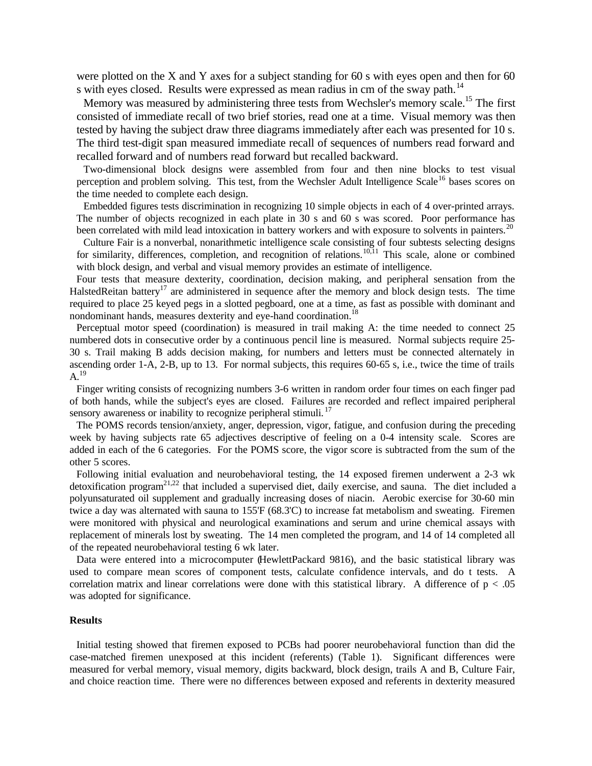were plotted on the X and Y axes for a subject standing for 60 s with eyes open and then for 60 s with eyes closed. Results were expressed as mean radius in cm of the sway path.<sup>14</sup>

Memory was measured by administering three tests from Wechsler's memory scale.<sup>15</sup> The first consisted of immediate recall of two brief stories, read one at a time. Visual memory was then tested by having the subject draw three diagrams immediately after each was presented for 10 s. The third test-digit span measured immediate recall of sequences of numbers read forward and recalled forward and of numbers read forward but recalled backward.

Two-dimensional block designs were assembled from four and then nine blocks to test visual perception and problem solving. This test, from the Wechsler Adult Intelligence Scale<sup>16</sup> bases scores on the time needed to complete each design.

Embedded figures tests discrimination in recognizing 10 simple objects in each of 4 over-printed arrays. The number of objects recognized in each plate in 30 s and 60 s was scored. Poor performance has been correlated with mild lead intoxication in battery workers and with exposure to solvents in painters.<sup>20</sup>

Culture Fair is a nonverbal, nonarithmetic intelligence scale consisting of four subtests selecting designs for similarity, differences, completion, and recognition of relations.<sup>10,11</sup> This scale, alone or combined with block design, and verbal and visual memory provides an estimate of intelligence.

Four tests that measure dexterity, coordination, decision making, and peripheral sensation from the HalstedReitan battery<sup>17</sup> are administered in sequence after the memory and block design tests. The time required to place 25 keyed pegs in a slotted pegboard, one at a time, as fast as possible with dominant and nondominant hands, measures dexterity and eye-hand coordination.<sup>18</sup>

Perceptual motor speed (coordination) is measured in trail making A: the time needed to connect 25 numbered dots in consecutive order by a continuous pencil line is measured. Normal subjects require 25- 30 s. Trail making B adds decision making, for numbers and letters must be connected alternately in ascending order 1-A, 2-B, up to 13. For normal subjects, this requires 60-65 s, i.e., twice the time of trails  $A.$ <sup>19</sup>

Finger writing consists of recognizing numbers 3-6 written in random order four times on each finger pad of both hands, while the subject's eyes are closed. Failures are recorded and reflect impaired peripheral sensory awareness or inability to recognize peripheral stimuli.<sup>17</sup>

The POMS records tension/anxiety, anger, depression, vigor, fatigue, and confusion during the preceding week by having subjects rate 65 adjectives descriptive of feeling on a 0-4 intensity scale. Scores are added in each of the 6 categories. For the POMS score, the vigor score is subtracted from the sum of the other 5 scores.

Following initial evaluation and neurobehavioral testing, the 14 exposed firemen underwent a 2-3 wk detoxification program<sup>21,22</sup> that included a supervised diet, daily exercise, and sauna. The diet included a polyunsaturated oil supplement and gradually increasing doses of niacin. Aerobic exercise for 30-60 min twice a day was alternated with sauna to 155'F (68.3'C) to increase fat metabolism and sweating. Firemen were monitored with physical and neurological examinations and serum and urine chemical assays with replacement of minerals lost by sweating. The 14 men completed the program, and 14 of 14 completed all of the repeated neurobehavioral testing 6 wk later.

Data were entered into a microcomputer (HewlettPackard 9816), and the basic statistical library was used to compare mean scores of component tests, calculate confidence intervals, and do t tests. A correlation matrix and linear correlations were done with this statistical library. A difference of  $p < .05$ was adopted for significance.

## **Results**

Initial testing showed that firemen exposed to PCBs had poorer neurobehavioral function than did the case-matched firemen unexposed at this incident (referents) (Table 1). Significant differences were measured for verbal memory, visual memory, digits backward, block design, trails A and B, Culture Fair, and choice reaction time. There were no differences between exposed and referents in dexterity measured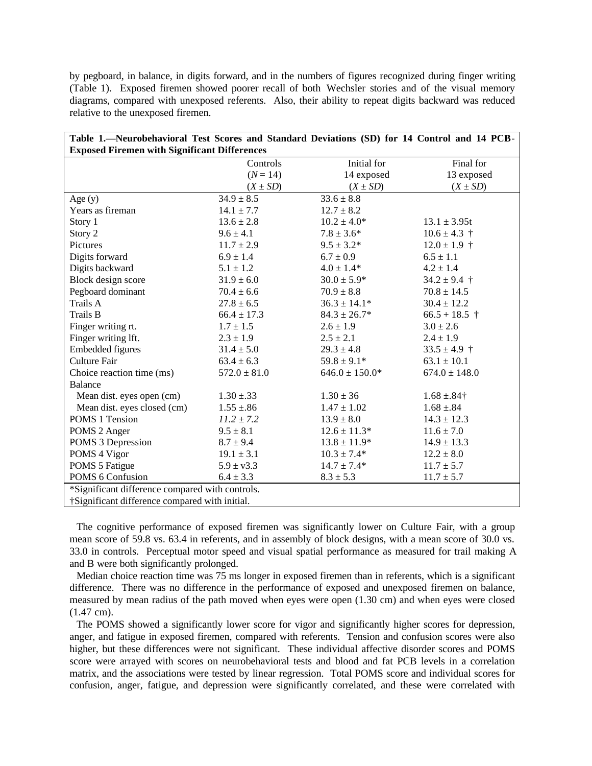by pegboard, in balance, in digits forward, and in the numbers of figures recognized during finger writing (Table 1). Exposed firemen showed poorer recall of both Wechsler stories and of the visual memory diagrams, compared with unexposed referents. Also, their ability to repeat digits backward was reduced relative to the unexposed firemen.

| Table 1.—Neurobehavioral Test Scores and Standard Deviations (SD) for 14 Control and 14 PCB- |                  |                    |                   |
|----------------------------------------------------------------------------------------------|------------------|--------------------|-------------------|
| <b>Exposed Firemen with Significant Differences</b>                                          |                  |                    |                   |
|                                                                                              | Controls         | Initial for        | Final for         |
|                                                                                              | $(N = 14)$       | 14 exposed         | 13 exposed        |
|                                                                                              | $(X \pm SD)$     | $(X \pm SD)$       | $(X \pm SD)$      |
| Age $(y)$                                                                                    | $34.9 \pm 8.5$   | $33.6 \pm 8.8$     |                   |
| Years as fireman                                                                             | $14.1 \pm 7.7$   | $12.7 \pm 8.2$     |                   |
| Story 1                                                                                      | $13.6 \pm 2.8$   | $10.2 \pm 4.0*$    | $13.1 \pm 3.95t$  |
| Story 2                                                                                      | $9.6 \pm 4.1$    | $7.8 \pm 3.6*$     | $10.6 \pm 4.3$ †  |
| Pictures                                                                                     | $11.7 \pm 2.9$   | $9.5 \pm 3.2*$     | $12.0 \pm 1.9$ †  |
| Digits forward                                                                               | $6.9 \pm 1.4$    | $6.7 \pm 0.9$      | $6.5 \pm 1.1$     |
| Digits backward                                                                              | $5.1 \pm 1.2$    | $4.0 \pm 1.4*$     | $4.2 \pm 1.4$     |
| Block design score                                                                           | $31.9 \pm 6.0$   | $30.0 \pm 5.9*$    | $34.2 \pm 9.4$ †  |
| Pegboard dominant                                                                            | $70.4 \pm 6.6$   | $70.9 \pm 8.8$     | $70.8 \pm 14.5$   |
| Trails A                                                                                     | $27.8 \pm 6.5$   | $36.3 \pm 14.1*$   | $30.4 \pm 12.2$   |
| Trails B                                                                                     | $66.4 \pm 17.3$  | $84.3 \pm 26.7*$   | $66.5 + 18.5$ †   |
| Finger writing rt.                                                                           | $1.7 \pm 1.5$    | $2.6 \pm 1.9$      | $3.0 \pm 2.6$     |
| Finger writing lft.                                                                          | $2.3 \pm 1.9$    | $2.5 \pm 2.1$      | $2.4 \pm 1.9$     |
| <b>Embedded figures</b>                                                                      | $31.4 \pm 5.0$   | $29.3 \pm 4.8$     | $33.5 \pm 4.9$ †  |
| Culture Fair                                                                                 | $63.4 \pm 6.3$   | $59.8 \pm 9.1*$    | $63.1 \pm 10.1$   |
| Choice reaction time (ms)                                                                    | $572.0 \pm 81.0$ | $646.0 \pm 150.0*$ | $674.0 \pm 148.0$ |
| <b>Balance</b>                                                                               |                  |                    |                   |
| Mean dist. eyes open (cm)                                                                    | $1.30 \pm .33$   | $1.30 \pm 36$      | $1.68 \pm .84$ †  |
| Mean dist. eyes closed (cm)                                                                  | $1.55 \pm .86$   | $1.47 \pm 1.02$    | $1.68 \pm .84$    |
| POMS 1 Tension                                                                               | $11.2 \pm 7.2$   | $13.9 \pm 8.0$     | $14.3 \pm 12.3$   |
| POMS 2 Anger                                                                                 | $9.5 \pm 8.1$    | $12.6 \pm 11.3*$   | $11.6 \pm 7.0$    |
| POMS 3 Depression                                                                            | $8.7 \pm 9.4$    | $13.8 \pm 11.9*$   | $14.9 \pm 13.3$   |
| POMS 4 Vigor                                                                                 | $19.1 \pm 3.1$   | $10.3 \pm 7.4*$    | $12.2 \pm 8.0$    |
| POMS 5 Fatigue                                                                               | $5.9 \pm v3.3$   | $14.7 \pm 7.4*$    | $11.7 \pm 5.7$    |
| POMS 6 Confusion                                                                             | $6.4 \pm 3.3$    | $8.3 \pm 5.3$      | $11.7 \pm 5.7$    |
| *Significant difference compared with controls.                                              |                  |                    |                   |
| †Significant difference compared with initial.                                               |                  |                    |                   |

The cognitive performance of exposed firemen was significantly lower on Culture Fair, with a group mean score of 59.8 vs. 63.4 in referents, and in assembly of block designs, with a mean score of 30.0 vs. 33.0 in controls. Perceptual motor speed and visual spatial performance as measured for trail making A and B were both significantly prolonged.

Median choice reaction time was 75 ms longer in exposed firemen than in referents, which is a significant difference. There was no difference in the performance of exposed and unexposed firemen on balance, measured by mean radius of the path moved when eyes were open (1.30 cm) and when eyes were closed (1.47 cm).

The POMS showed a significantly lower score for vigor and significantly higher scores for depression, anger, and fatigue in exposed firemen, compared with referents. Tension and confusion scores were also higher, but these differences were not significant. These individual affective disorder scores and POMS score were arrayed with scores on neurobehavioral tests and blood and fat PCB levels in a correlation matrix, and the associations were tested by linear regression. Total POMS score and individual scores for confusion, anger, fatigue, and depression were significantly correlated, and these were correlated with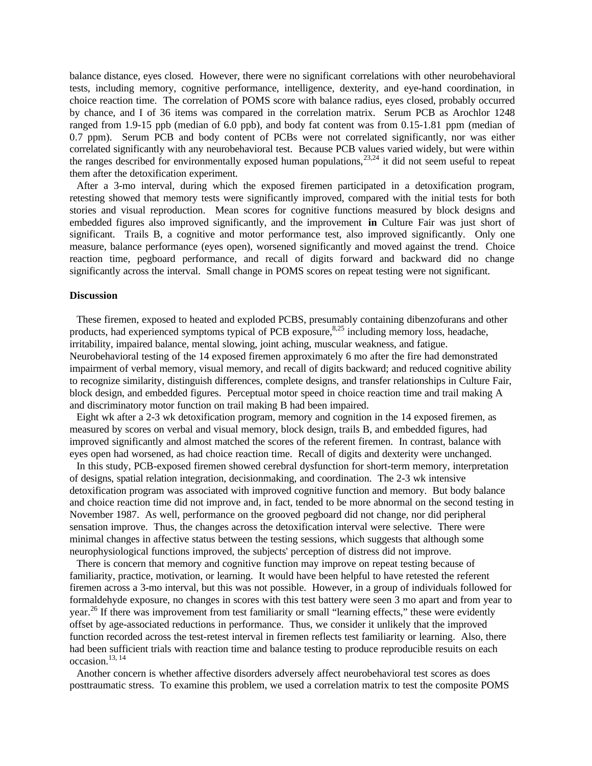balance distance, eyes closed. However, there were no significant correlations with other neurobehavioral tests, including memory, cognitive performance, intelligence, dexterity, and eye-hand coordination, in choice reaction time. The correlation of POMS score with balance radius, eyes closed, probably occurred by chance, and I of 36 items was compared in the correlation matrix. Serum PCB as Arochlor 1248 ranged from 1.9-15 ppb (median of 6.0 ppb), and body fat content was from 0.15-1.81 ppm (median of 0.7 ppm). Serum PCB and body content of PCBs were not correlated significantly, nor was either correlated significantly with any neurobehavioral test. Because PCB values varied widely, but were within the ranges described for environmentally exposed human populations,<sup>23,24</sup> it did not seem useful to repeat them after the detoxification experiment.

After a 3-mo interval, during which the exposed firemen participated in a detoxification program, retesting showed that memory tests were significantly improved, compared with the initial tests for both stories and visual reproduction. Mean scores for cognitive functions measured by block designs and embedded figures also improved significantly, and the improvement **in** Culture Fair was just short of significant. Trails B, a cognitive and motor performance test, also improved significantly. Only one measure, balance performance (eyes open), worsened significantly and moved against the trend. Choice reaction time, pegboard performance, and recall of digits forward and backward did no change significantly across the interval. Small change in POMS scores on repeat testing were not significant.

## **Discussion**

These firemen, exposed to heated and exploded PCBS, presumably containing dibenzofurans and other products, had experienced symptoms typical of PCB exposure, $8.25$  including memory loss, headache, irritability, impaired balance, mental slowing, joint aching, muscular weakness, and fatigue. Neurobehavioral testing of the 14 exposed firemen approximately 6 mo after the fire had demonstrated impairment of verbal memory, visual memory, and recall of digits backward; and reduced cognitive ability to recognize similarity, distinguish differences, complete designs, and transfer relationships in Culture Fair, block design, and embedded figures. Perceptual motor speed in choice reaction time and trail making A and discriminatory motor function on trail making B had been impaired.

Eight wk after a 2-3 wk detoxification program, memory and cognition in the 14 exposed firemen, as measured by scores on verbal and visual memory, block design, trails B, and embedded figures, had improved significantly and almost matched the scores of the referent firemen. In contrast, balance with eyes open had worsened, as had choice reaction time. Recall of digits and dexterity were unchanged.

In this study, PCB-exposed firemen showed cerebral dysfunction for short-term memory, interpretation of designs, spatial relation integration, decisionmaking, and coordination. The 2-3 wk intensive detoxification program was associated with improved cognitive function and memory. But body balance and choice reaction time did not improve and, in fact, tended to be more abnormal on the second testing in November 1987. As well, performance on the grooved pegboard did not change, nor did peripheral sensation improve. Thus, the changes across the detoxification interval were selective. There were minimal changes in affective status between the testing sessions, which suggests that although some neurophysiological functions improved, the subjects' perception of distress did not improve.

There is concern that memory and cognitive function may improve on repeat testing because of familiarity, practice, motivation, or learning. It would have been helpful to have retested the referent firemen across a 3-mo interval, but this was not possible. However, in a group of individuals followed for formaldehyde exposure, no changes in scores with this test battery were seen 3 mo apart and from year to year.<sup>26</sup> If there was improvement from test familiarity or small "learning effects," these were evidently offset by age-associated reductions in performance. Thus, we consider it unlikely that the improved function recorded across the test-retest interval in firemen reflects test familiarity or learning. Also, there had been sufficient trials with reaction time and balance testing to produce reproducible resuits on each occasion.13, 14

Another concern is whether affective disorders adversely affect neurobehavioral test scores as does posttraumatic stress. To examine this problem, we used a correlation matrix to test the composite POMS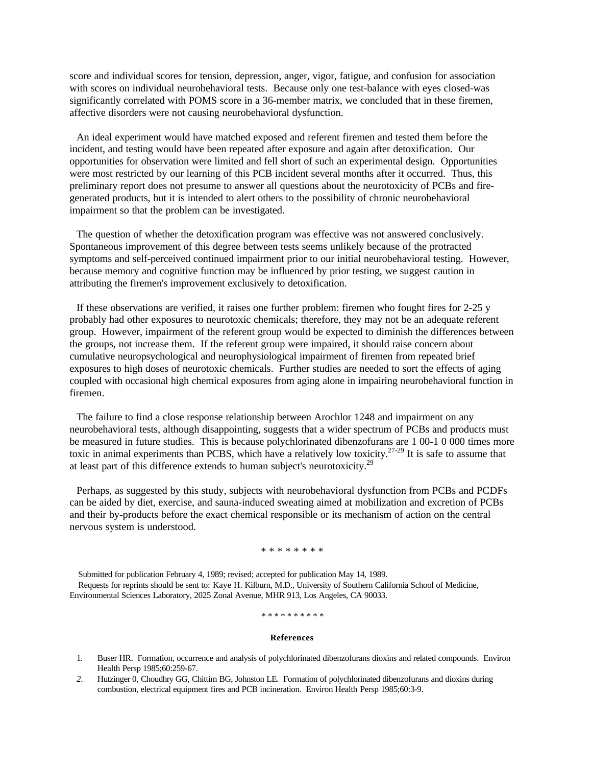score and individual scores for tension, depression, anger, vigor, fatigue, and confusion for association with scores on individual neurobehavioral tests. Because only one test-balance with eyes closed-was significantly correlated with POMS score in a 36-member matrix, we concluded that in these firemen, affective disorders were not causing neurobehavioral dysfunction.

An ideal experiment would have matched exposed and referent firemen and tested them before the incident, and testing would have been repeated after exposure and again after detoxification. Our opportunities for observation were limited and fell short of such an experimental design. Opportunities were most restricted by our learning of this PCB incident several months after it occurred. Thus, this preliminary report does not presume to answer all questions about the neurotoxicity of PCBs and firegenerated products, but it is intended to alert others to the possibility of chronic neurobehavioral impairment so that the problem can be investigated.

The question of whether the detoxification program was effective was not answered conclusively. Spontaneous improvement of this degree between tests seems unlikely because of the protracted symptoms and self-perceived continued impairment prior to our initial neurobehavioral testing. However, because memory and cognitive function may be influenced by prior testing, we suggest caution in attributing the firemen's improvement exclusively to detoxification.

If these observations are verified, it raises one further problem: firemen who fought fires for 2-25 y probably had other exposures to neurotoxic chemicals; therefore, they may not be an adequate referent group. However, impairment of the referent group would be expected to diminish the differences between the groups, not increase them. If the referent group were impaired, it should raise concern about cumulative neuropsychological and neurophysiological impairment of firemen from repeated brief exposures to high doses of neurotoxic chemicals. Further studies are needed to sort the effects of aging coupled with occasional high chemical exposures from aging alone in impairing neurobehavioral function in firemen.

The failure to find a close response relationship between Arochlor 1248 and impairment on any neurobehavioral tests, although disappointing, suggests that a wider spectrum of PCBs and products must be measured in future studies. This is because polychlorinated dibenzofurans are 1 00-1 0 000 times more toxic in animal experiments than PCBS, which have a relatively low toxicity.<sup>27-29</sup> It is safe to assume that at least part of this difference extends to human subject's neurotoxicity.<sup>29</sup>

Perhaps, as suggested by this study, subjects with neurobehavioral dysfunction from PCBs and PCDFs can be aided by diet, exercise, and sauna-induced sweating aimed at mobilization and excretion of PCBs and their by-products before the exact chemical responsible or its mechanism of action on the central nervous system is understood.

## \* \* \* \* \* \* \* \*

Submitted for publication February 4, 1989; revised; accepted for publication May 14, 1989. Requests for reprints should be sent to: Kaye H. Kilburn, M.D., University of Southern California School of Medicine, Environmental Sciences Laboratory, 2025 Zonal Avenue, MHR 913, Los Angeles, CA 90033.

#### \* \* \* \* \* \* \* \* \* \*

#### **References**

- 1. Buser HR. Formation, occurrence and analysis of polychlorinated dibenzofurans dioxins and related compounds. Environ Health Persp 1985;60:259-67.
- *2.* Hutzinger 0, Choudhry GG, Chittim BG, Johnston LE. Formation of polychlorinated dibenzofurans and dioxins during combustion, electrical equipment fires and PCB incineration. Environ Health Persp 1985;60:3-9.